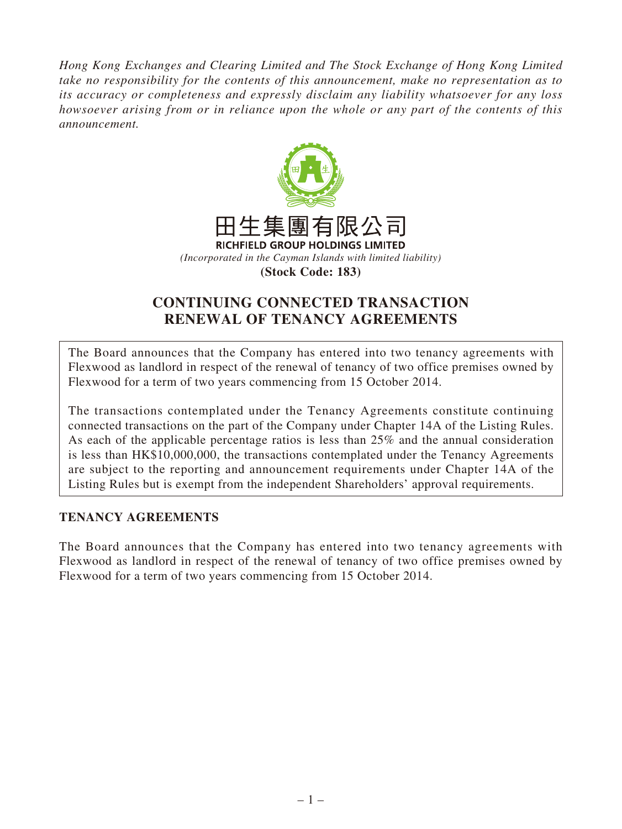*Hong Kong Exchanges and Clearing Limited and The Stock Exchange of Hong Kong Limited take no responsibility for the contents of this announcement, make no representation as to its accuracy or completeness and expressly disclaim any liability whatsoever for any loss howsoever arising from or in reliance upon the whole or any part of the contents of this announcement.*



# **CONTINUING CONNECTED TRANSACTION RENEWAL OF TENANCY AGREEMENTS**

The Board announces that the Company has entered into two tenancy agreements with Flexwood as landlord in respect of the renewal of tenancy of two office premises owned by Flexwood for a term of two years commencing from 15 October 2014.

The transactions contemplated under the Tenancy Agreements constitute continuing connected transactions on the part of the Company under Chapter 14A of the Listing Rules. As each of the applicable percentage ratios is less than 25% and the annual consideration is less than HK\$10,000,000, the transactions contemplated under the Tenancy Agreements are subject to the reporting and announcement requirements under Chapter 14A of the Listing Rules but is exempt from the independent Shareholders' approval requirements.

### **TENANCY AGREEMENTS**

The Board announces that the Company has entered into two tenancy agreements with Flexwood as landlord in respect of the renewal of tenancy of two office premises owned by Flexwood for a term of two years commencing from 15 October 2014.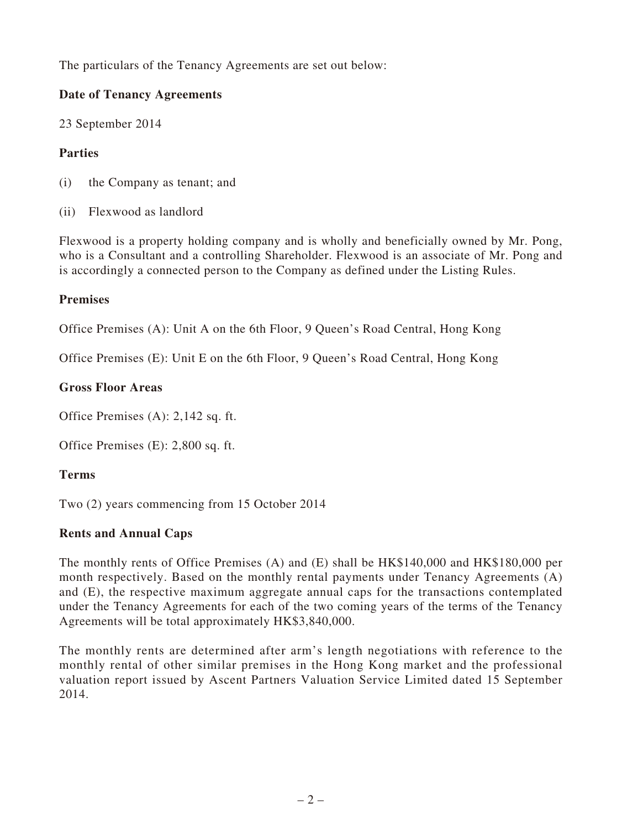The particulars of the Tenancy Agreements are set out below:

### **Date of Tenancy Agreements**

23 September 2014

# **Parties**

- (i) the Company as tenant; and
- (ii) Flexwood as landlord

Flexwood is a property holding company and is wholly and beneficially owned by Mr. Pong, who is a Consultant and a controlling Shareholder. Flexwood is an associate of Mr. Pong and is accordingly a connected person to the Company as defined under the Listing Rules.

#### **Premises**

Office Premises (A): Unit A on the 6th Floor, 9 Queen's Road Central, Hong Kong

Office Premises (E): Unit E on the 6th Floor, 9 Queen's Road Central, Hong Kong

#### **Gross Floor Areas**

Office Premises (A): 2,142 sq. ft.

Office Premises (E): 2,800 sq. ft.

### **Terms**

Two (2) years commencing from 15 October 2014

### **Rents and Annual Caps**

The monthly rents of Office Premises (A) and (E) shall be HK\$140,000 and HK\$180,000 per month respectively. Based on the monthly rental payments under Tenancy Agreements (A) and (E), the respective maximum aggregate annual caps for the transactions contemplated under the Tenancy Agreements for each of the two coming years of the terms of the Tenancy Agreements will be total approximately HK\$3,840,000.

The monthly rents are determined after arm's length negotiations with reference to the monthly rental of other similar premises in the Hong Kong market and the professional valuation report issued by Ascent Partners Valuation Service Limited dated 15 September 2014.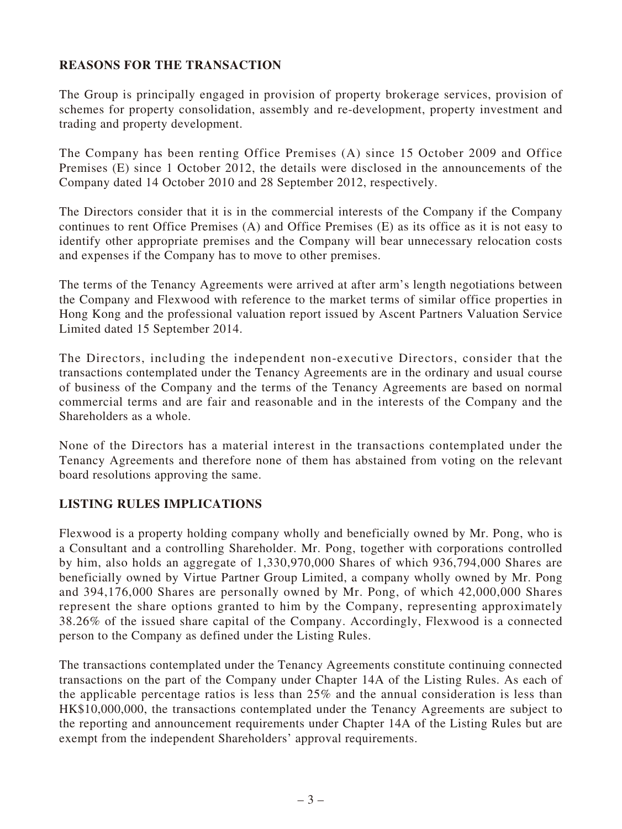### **REASONS FOR THE TRANSACTION**

The Group is principally engaged in provision of property brokerage services, provision of schemes for property consolidation, assembly and re-development, property investment and trading and property development.

The Company has been renting Office Premises (A) since 15 October 2009 and Office Premises (E) since 1 October 2012, the details were disclosed in the announcements of the Company dated 14 October 2010 and 28 September 2012, respectively.

The Directors consider that it is in the commercial interests of the Company if the Company continues to rent Office Premises (A) and Office Premises (E) as its office as it is not easy to identify other appropriate premises and the Company will bear unnecessary relocation costs and expenses if the Company has to move to other premises.

The terms of the Tenancy Agreements were arrived at after arm's length negotiations between the Company and Flexwood with reference to the market terms of similar office properties in Hong Kong and the professional valuation report issued by Ascent Partners Valuation Service Limited dated 15 September 2014.

The Directors, including the independent non-executive Directors, consider that the transactions contemplated under the Tenancy Agreements are in the ordinary and usual course of business of the Company and the terms of the Tenancy Agreements are based on normal commercial terms and are fair and reasonable and in the interests of the Company and the Shareholders as a whole.

None of the Directors has a material interest in the transactions contemplated under the Tenancy Agreements and therefore none of them has abstained from voting on the relevant board resolutions approving the same.

#### **LISTING RULES IMPLICATIONS**

Flexwood is a property holding company wholly and beneficially owned by Mr. Pong, who is a Consultant and a controlling Shareholder. Mr. Pong, together with corporations controlled by him, also holds an aggregate of 1,330,970,000 Shares of which 936,794,000 Shares are beneficially owned by Virtue Partner Group Limited, a company wholly owned by Mr. Pong and 394,176,000 Shares are personally owned by Mr. Pong, of which 42,000,000 Shares represent the share options granted to him by the Company, representing approximately 38.26% of the issued share capital of the Company. Accordingly, Flexwood is a connected person to the Company as defined under the Listing Rules.

The transactions contemplated under the Tenancy Agreements constitute continuing connected transactions on the part of the Company under Chapter 14A of the Listing Rules. As each of the applicable percentage ratios is less than 25% and the annual consideration is less than HK\$10,000,000, the transactions contemplated under the Tenancy Agreements are subject to the reporting and announcement requirements under Chapter 14A of the Listing Rules but are exempt from the independent Shareholders' approval requirements.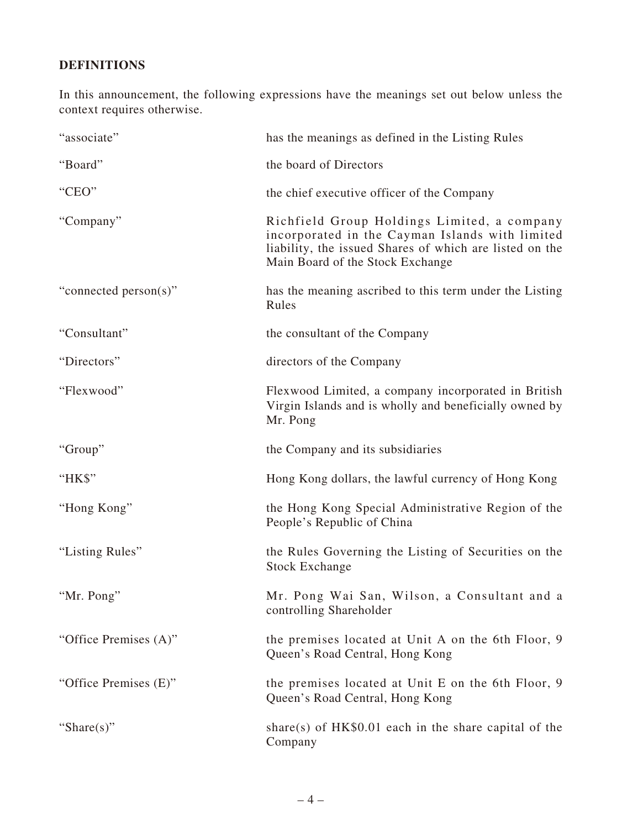# **DEFINITIONS**

In this announcement, the following expressions have the meanings set out below unless the context requires otherwise.

| "associate"           | has the meanings as defined in the Listing Rules                                                                                                                                              |
|-----------------------|-----------------------------------------------------------------------------------------------------------------------------------------------------------------------------------------------|
| "Board"               | the board of Directors                                                                                                                                                                        |
| "CEO"                 | the chief executive officer of the Company                                                                                                                                                    |
| "Company"             | Richfield Group Holdings Limited, a company<br>incorporated in the Cayman Islands with limited<br>liability, the issued Shares of which are listed on the<br>Main Board of the Stock Exchange |
| "connected person(s)" | has the meaning ascribed to this term under the Listing<br>Rules                                                                                                                              |
| "Consultant"          | the consultant of the Company                                                                                                                                                                 |
| "Directors"           | directors of the Company                                                                                                                                                                      |
| "Flexwood"            | Flexwood Limited, a company incorporated in British<br>Virgin Islands and is wholly and beneficially owned by<br>Mr. Pong                                                                     |
| "Group"               | the Company and its subsidiaries                                                                                                                                                              |
| "HK\$"                | Hong Kong dollars, the lawful currency of Hong Kong                                                                                                                                           |
| "Hong Kong"           | the Hong Kong Special Administrative Region of the<br>People's Republic of China                                                                                                              |
| "Listing Rules"       | the Rules Governing the Listing of Securities on the<br><b>Stock Exchange</b>                                                                                                                 |
| "Mr. Pong"            | Mr. Pong Wai San, Wilson, a Consultant and a<br>controlling Shareholder                                                                                                                       |
| "Office Premises (A)" | the premises located at Unit A on the 6th Floor, 9<br>Queen's Road Central, Hong Kong                                                                                                         |
| "Office Premises (E)" | the premises located at Unit E on the 6th Floor, 9<br>Queen's Road Central, Hong Kong                                                                                                         |
| "Share $(s)$ "        | share(s) of $HK$0.01$ each in the share capital of the<br>Company                                                                                                                             |